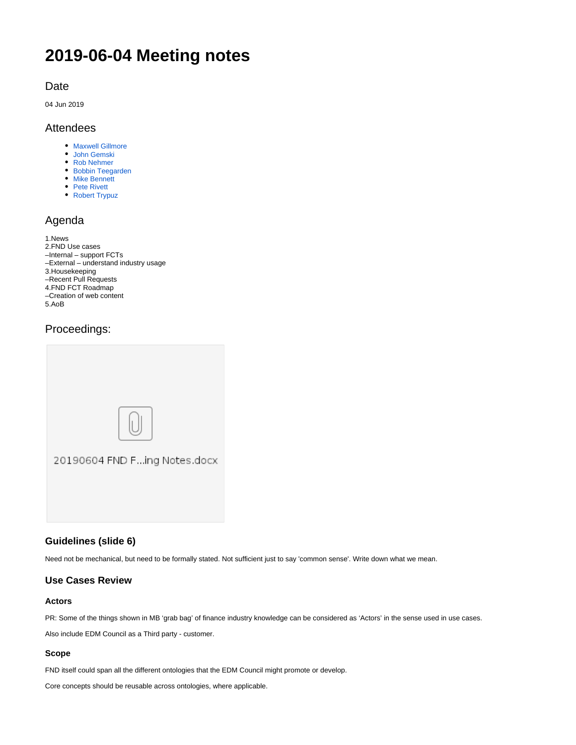# **2019-06-04 Meeting notes**

# Date

04 Jun 2019

# Attendees

- **[Maxwell Gillmore](https://wiki.edmcouncil.org/display/~maxwellrgillmore)**
- [John Gemski](https://wiki.edmcouncil.org/display/~jgemski)
- [Rob Nehmer](https://wiki.edmcouncil.org/display/~nehmer)
- [Bobbin Teegarden](https://wiki.edmcouncil.org/display/~teegs) **[Mike Bennett](https://wiki.edmcouncil.org/display/~MikeHypercube)**
- [Pete Rivett](https://wiki.edmcouncil.org/display/~rivettp)
- [Robert Trypuz](https://wiki.edmcouncil.org/display/~trypuz1)

# Agenda

| 1.News                                |
|---------------------------------------|
| 2. FND Use cases                      |
| -Internal - support FCTs              |
| -External - understand industry usage |
| 3. Housekeeping                       |
| -Recent Pull Requests                 |
| 4.FND FCT Roadmap                     |
| -Creation of web content              |
| 5.AoB                                 |
|                                       |

# Proceedings:

| 20190604 FND Fing Notes.docx |
|------------------------------|
|                              |

# **Guidelines (slide 6)**

Need not be mechanical, but need to be formally stated. Not sufficient just to say 'common sense'. Write down what we mean.

# **Use Cases Review**

#### **Actors**

PR: Some of the things shown in MB 'grab bag' of finance industry knowledge can be considered as 'Actors' in the sense used in use cases.

Also include EDM Council as a Third party - customer.

#### **Scope**

FND itself could span all the different ontologies that the EDM Council might promote or develop.

Core concepts should be reusable across ontologies, where applicable.